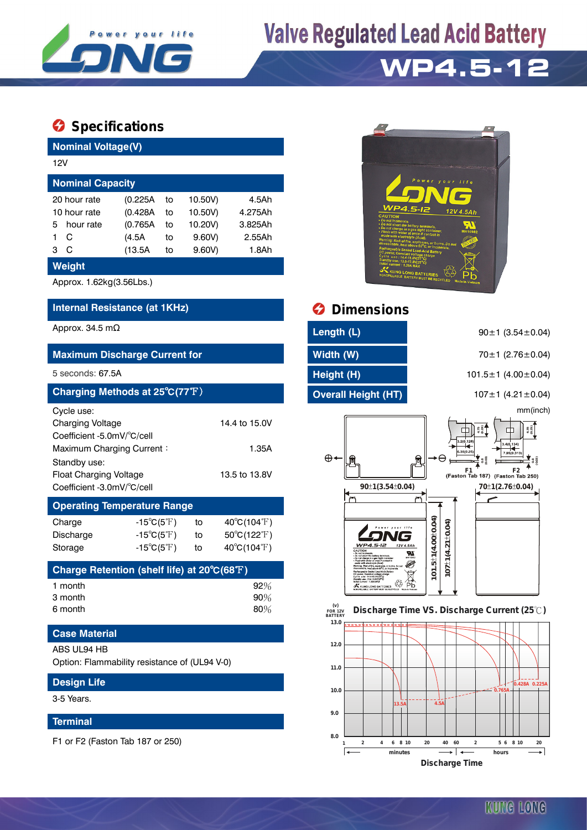

# **Valve Regulated Lead Acid Battery**

## **WP4.5-12**

### **Specifications**

| <b>Nominal Voltage(V)</b>                                                                                                                                                |                                                          |                            |                                                   |                                                |  |  |  |
|--------------------------------------------------------------------------------------------------------------------------------------------------------------------------|----------------------------------------------------------|----------------------------|---------------------------------------------------|------------------------------------------------|--|--|--|
| 12V                                                                                                                                                                      |                                                          |                            |                                                   |                                                |  |  |  |
| <b>Nominal Capacity</b>                                                                                                                                                  |                                                          |                            |                                                   |                                                |  |  |  |
| 20 hour rate<br>10 hour rate<br>5<br>hour rate<br>C<br>1<br>C<br>3                                                                                                       | (0.225A)<br>(0.428A)<br>(0.765A)<br>(4.5A)<br>(13.5A)    | to<br>to<br>to<br>to<br>to | 10.50V)<br>10.50V)<br>10.20V)<br>9.60V)<br>9.60V) | 4.5Ah<br>4.275Ah<br>3.825Ah<br>2.55Ah<br>1.8Ah |  |  |  |
| Weight                                                                                                                                                                   |                                                          |                            |                                                   |                                                |  |  |  |
| Approx. 1.62kg(3.56Lbs.)                                                                                                                                                 |                                                          |                            |                                                   |                                                |  |  |  |
| Internal Resistance (at 1KHz)                                                                                                                                            |                                                          |                            |                                                   |                                                |  |  |  |
| Approx. 34.5 m $\Omega$                                                                                                                                                  |                                                          |                            |                                                   |                                                |  |  |  |
| <b>Maximum Discharge Current for</b>                                                                                                                                     |                                                          |                            |                                                   |                                                |  |  |  |
| 5 seconds: 67.5A                                                                                                                                                         |                                                          |                            |                                                   |                                                |  |  |  |
| Charging Methods at 25°C(77°F)                                                                                                                                           |                                                          |                            |                                                   |                                                |  |  |  |
| Cycle use:<br>Charging Voltage<br>Coefficient -5.0mV/°C/cell<br>Maximum Charging Current:<br>Standby use:<br><b>Float Charging Voltage</b><br>Coefficient -3.0mV/°C/cell |                                                          |                            |                                                   | 14.4 to 15.0V<br>1.35A<br>13.5 to 13.8V        |  |  |  |
| <b>Operating Temperature Range</b>                                                                                                                                       |                                                          |                            |                                                   |                                                |  |  |  |
| Charge                                                                                                                                                                   | $-15^{\circ}C(5^{\circ}F)$                               |                            | to                                                | $40^{\circ}C(104^{\circ}F)$                    |  |  |  |
| Discharge                                                                                                                                                                | $-15^{\circ}C(5^{\circ}F)$<br>$-15^{\circ}C(5^{\circ}F)$ |                            | to                                                | 50°C(122°F)<br>40°C(104°F)                     |  |  |  |
| Storage<br>$\bigcap$ $\bigcap$                                                                                                                                           |                                                          |                            | to<br>$I = L = 14$ $H = 1$ at $0.000$ $(0.000)$   |                                                |  |  |  |

| Charge Retention (shelf life) at 20 $\mathrm{^{\circ}C(68^{\circ}F)}$ |     |
|-----------------------------------------------------------------------|-----|
| 1 month                                                               | 92% |
| 3 month                                                               | 90% |
| 6 month                                                               | 80% |

### **Case Material**

#### ABS UL94 HB

Option: Flammability resistance of (UL94 V-0)

## **Design Life** 3-5 Years.

#### **Terminal**

F1 or F2 (Faston Tab 187 or 250)



## *<u>Dimensions</u>*

| Length (L)                 |  |
|----------------------------|--|
| Width (W)                  |  |
| Height (H)                 |  |
| <b>Overall Height (HT)</b> |  |
|                            |  |

90±1 (3.54±0.04)

**Maximum Discharge Current for Width (W)** 70±1 (2.76±0.04)

5 seconds: 67.5A **Height (H)** 101.5±1 (4.00±0.04)

**Charging Methods at 25**℃**(77**℉) **Overall Height (HT)** 107±1 (4.21±0.04)

mm(inch)





**Discharge Time**